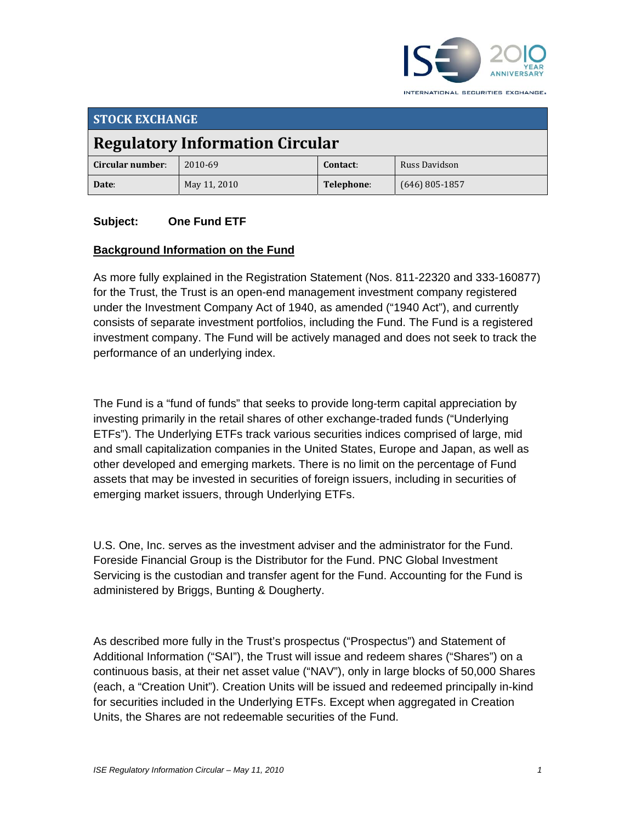

**STOCK EXCHANGE Regulatory Information Circular Circular number**: 2010‐69 **Contact**: Russ Davidson **Date**: May 11, 2010 **Telephone**: (646) 805‐1857

#### **Subject: One Fund ETF**

#### **Background Information on the Fund**

As more fully explained in the Registration Statement (Nos. 811-22320 and 333-160877) for the Trust, the Trust is an open-end management investment company registered under the Investment Company Act of 1940, as amended ("1940 Act"), and currently consists of separate investment portfolios, including the Fund. The Fund is a registered investment company. The Fund will be actively managed and does not seek to track the performance of an underlying index.

The Fund is a "fund of funds" that seeks to provide long-term capital appreciation by investing primarily in the retail shares of other exchange-traded funds ("Underlying ETFs"). The Underlying ETFs track various securities indices comprised of large, mid and small capitalization companies in the United States, Europe and Japan, as well as other developed and emerging markets. There is no limit on the percentage of Fund assets that may be invested in securities of foreign issuers, including in securities of emerging market issuers, through Underlying ETFs.

U.S. One, Inc. serves as the investment adviser and the administrator for the Fund. Foreside Financial Group is the Distributor for the Fund. PNC Global Investment Servicing is the custodian and transfer agent for the Fund. Accounting for the Fund is administered by Briggs, Bunting & Dougherty.

As described more fully in the Trust's prospectus ("Prospectus") and Statement of Additional Information ("SAI"), the Trust will issue and redeem shares ("Shares") on a continuous basis, at their net asset value ("NAV"), only in large blocks of 50,000 Shares (each, a "Creation Unit"). Creation Units will be issued and redeemed principally in-kind for securities included in the Underlying ETFs. Except when aggregated in Creation Units, the Shares are not redeemable securities of the Fund.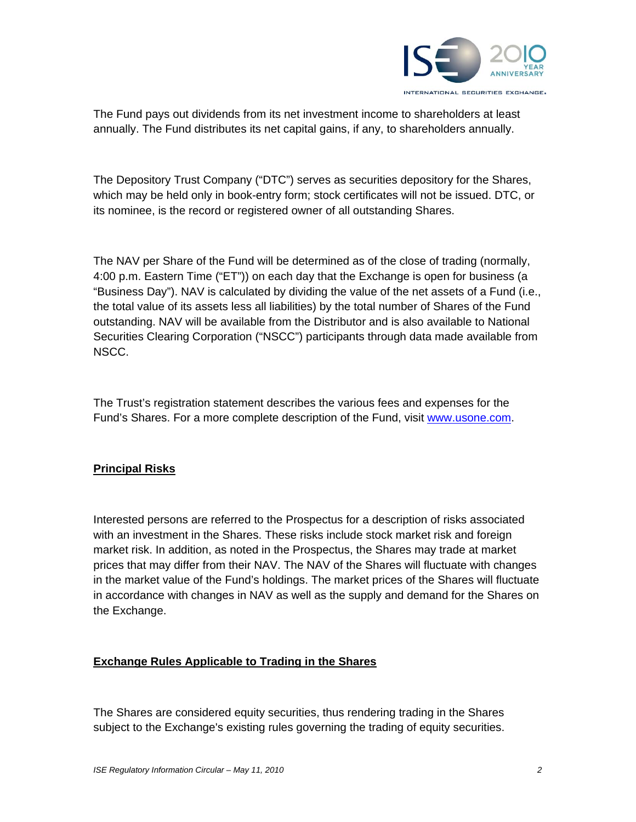

The Fund pays out dividends from its net investment income to shareholders at least annually. The Fund distributes its net capital gains, if any, to shareholders annually.

The Depository Trust Company ("DTC") serves as securities depository for the Shares, which may be held only in book-entry form; stock certificates will not be issued. DTC, or its nominee, is the record or registered owner of all outstanding Shares.

The NAV per Share of the Fund will be determined as of the close of trading (normally, 4:00 p.m. Eastern Time ("ET")) on each day that the Exchange is open for business (a "Business Day"). NAV is calculated by dividing the value of the net assets of a Fund (i.e., the total value of its assets less all liabilities) by the total number of Shares of the Fund outstanding. NAV will be available from the Distributor and is also available to National Securities Clearing Corporation ("NSCC") participants through data made available from NSCC.

The Trust's registration statement describes the various fees and expenses for the Fund's Shares. For a more complete description of the Fund, visit www.usone.com.

# **Principal Risks**

Interested persons are referred to the Prospectus for a description of risks associated with an investment in the Shares. These risks include stock market risk and foreign market risk. In addition, as noted in the Prospectus, the Shares may trade at market prices that may differ from their NAV. The NAV of the Shares will fluctuate with changes in the market value of the Fund's holdings. The market prices of the Shares will fluctuate in accordance with changes in NAV as well as the supply and demand for the Shares on the Exchange.

# **Exchange Rules Applicable to Trading in the Shares**

The Shares are considered equity securities, thus rendering trading in the Shares subject to the Exchange's existing rules governing the trading of equity securities.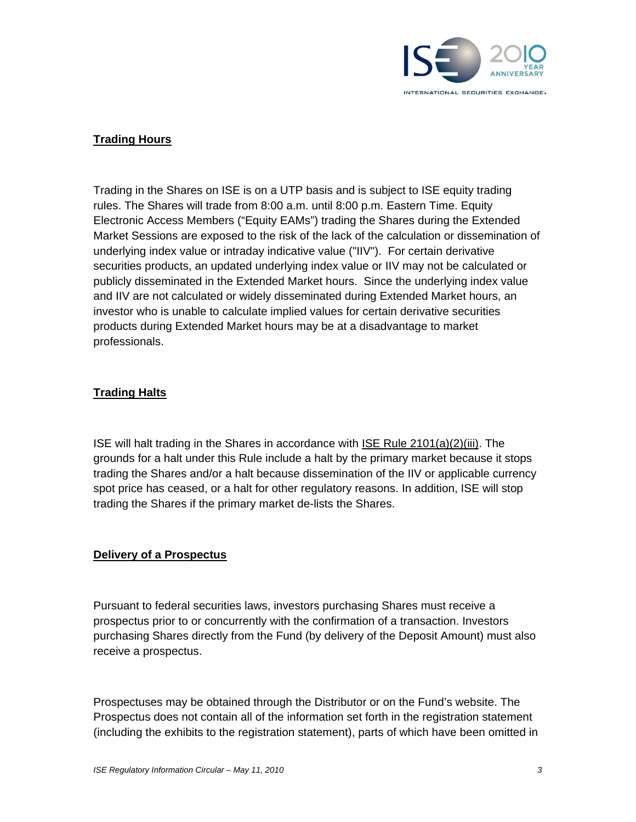

# **Trading Hours**

Trading in the Shares on ISE is on a UTP basis and is subject to ISE equity trading rules. The Shares will trade from 8:00 a.m. until 8:00 p.m. Eastern Time. Equity Electronic Access Members ("Equity EAMs") trading the Shares during the Extended Market Sessions are exposed to the risk of the lack of the calculation or dissemination of underlying index value or intraday indicative value ("IIV"). For certain derivative securities products, an updated underlying index value or IIV may not be calculated or publicly disseminated in the Extended Market hours. Since the underlying index value and IIV are not calculated or widely disseminated during Extended Market hours, an investor who is unable to calculate implied values for certain derivative securities products during Extended Market hours may be at a disadvantage to market professionals.

## **Trading Halts**

ISE will halt trading in the Shares in accordance with ISE Rule 2101(a)(2)(iii). The grounds for a halt under this Rule include a halt by the primary market because it stops trading the Shares and/or a halt because dissemination of the IIV or applicable currency spot price has ceased, or a halt for other regulatory reasons. In addition, ISE will stop trading the Shares if the primary market de-lists the Shares.

#### **Delivery of a Prospectus**

Pursuant to federal securities laws, investors purchasing Shares must receive a prospectus prior to or concurrently with the confirmation of a transaction. Investors purchasing Shares directly from the Fund (by delivery of the Deposit Amount) must also receive a prospectus.

Prospectuses may be obtained through the Distributor or on the Fund's website. The Prospectus does not contain all of the information set forth in the registration statement (including the exhibits to the registration statement), parts of which have been omitted in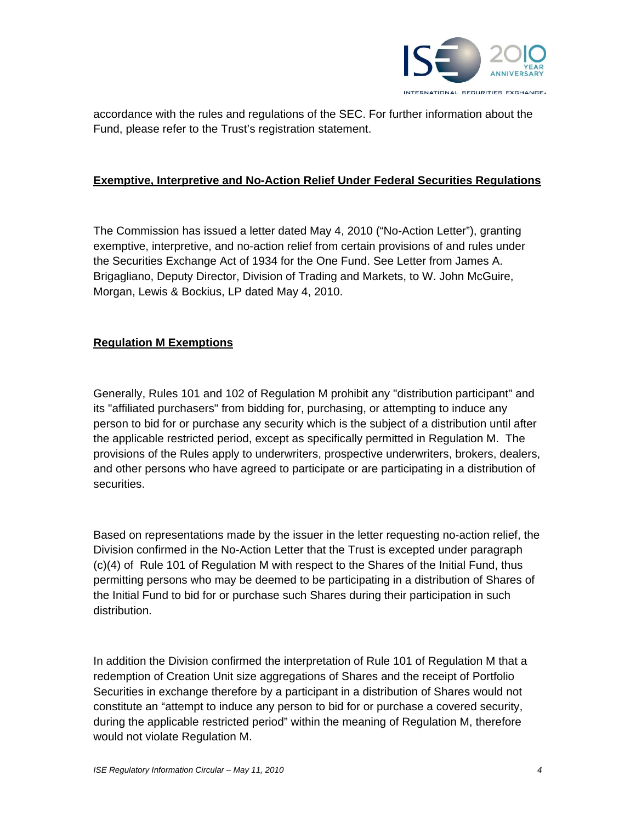

accordance with the rules and regulations of the SEC. For further information about the Fund, please refer to the Trust's registration statement.

#### **Exemptive, Interpretive and No-Action Relief Under Federal Securities Regulations**

The Commission has issued a letter dated May 4, 2010 ("No-Action Letter"), granting exemptive, interpretive, and no-action relief from certain provisions of and rules under the Securities Exchange Act of 1934 for the One Fund. See Letter from James A. Brigagliano, Deputy Director, Division of Trading and Markets, to W. John McGuire, Morgan, Lewis & Bockius, LP dated May 4, 2010.

## **Regulation M Exemptions**

Generally, Rules 101 and 102 of Regulation M prohibit any "distribution participant" and its "affiliated purchasers" from bidding for, purchasing, or attempting to induce any person to bid for or purchase any security which is the subject of a distribution until after the applicable restricted period, except as specifically permitted in Regulation M. The provisions of the Rules apply to underwriters, prospective underwriters, brokers, dealers, and other persons who have agreed to participate or are participating in a distribution of securities.

Based on representations made by the issuer in the letter requesting no-action relief, the Division confirmed in the No-Action Letter that the Trust is excepted under paragraph (c)(4) of Rule 101 of Regulation M with respect to the Shares of the Initial Fund, thus permitting persons who may be deemed to be participating in a distribution of Shares of the Initial Fund to bid for or purchase such Shares during their participation in such distribution.

In addition the Division confirmed the interpretation of Rule 101 of Regulation M that a redemption of Creation Unit size aggregations of Shares and the receipt of Portfolio Securities in exchange therefore by a participant in a distribution of Shares would not constitute an "attempt to induce any person to bid for or purchase a covered security, during the applicable restricted period" within the meaning of Regulation M, therefore would not violate Regulation M.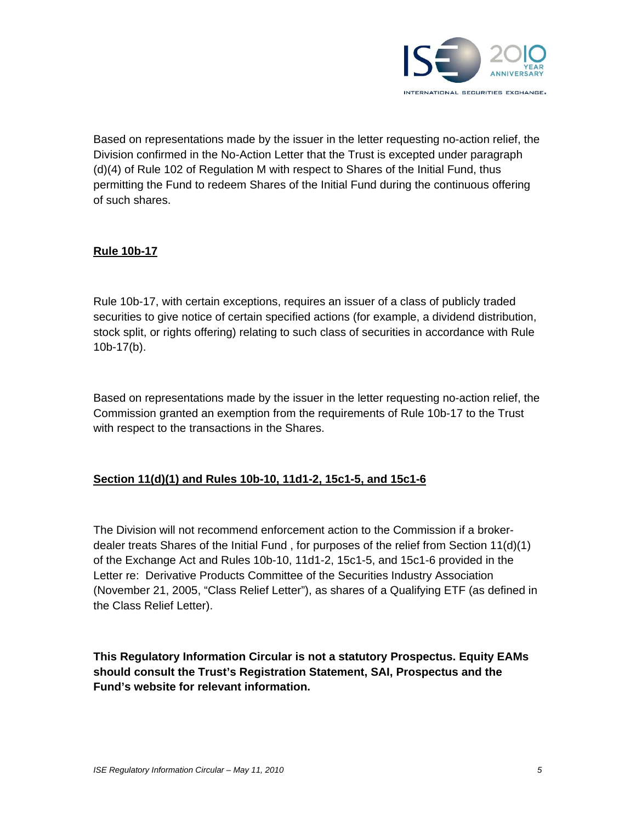

Based on representations made by the issuer in the letter requesting no-action relief, the Division confirmed in the No-Action Letter that the Trust is excepted under paragraph (d)(4) of Rule 102 of Regulation M with respect to Shares of the Initial Fund, thus permitting the Fund to redeem Shares of the Initial Fund during the continuous offering of such shares.

## **Rule 10b-17**

Rule 10b-17, with certain exceptions, requires an issuer of a class of publicly traded securities to give notice of certain specified actions (for example, a dividend distribution, stock split, or rights offering) relating to such class of securities in accordance with Rule 10b-17(b).

Based on representations made by the issuer in the letter requesting no-action relief, the Commission granted an exemption from the requirements of Rule 10b-17 to the Trust with respect to the transactions in the Shares.

#### **Section 11(d)(1) and Rules 10b-10, 11d1-2, 15c1-5, and 15c1-6**

The Division will not recommend enforcement action to the Commission if a brokerdealer treats Shares of the Initial Fund , for purposes of the relief from Section 11(d)(1) of the Exchange Act and Rules 10b-10, 11d1-2, 15c1-5, and 15c1-6 provided in the Letter re: Derivative Products Committee of the Securities Industry Association (November 21, 2005, "Class Relief Letter"), as shares of a Qualifying ETF (as defined in the Class Relief Letter).

**This Regulatory Information Circular is not a statutory Prospectus. Equity EAMs should consult the Trust's Registration Statement, SAI, Prospectus and the Fund's website for relevant information.**